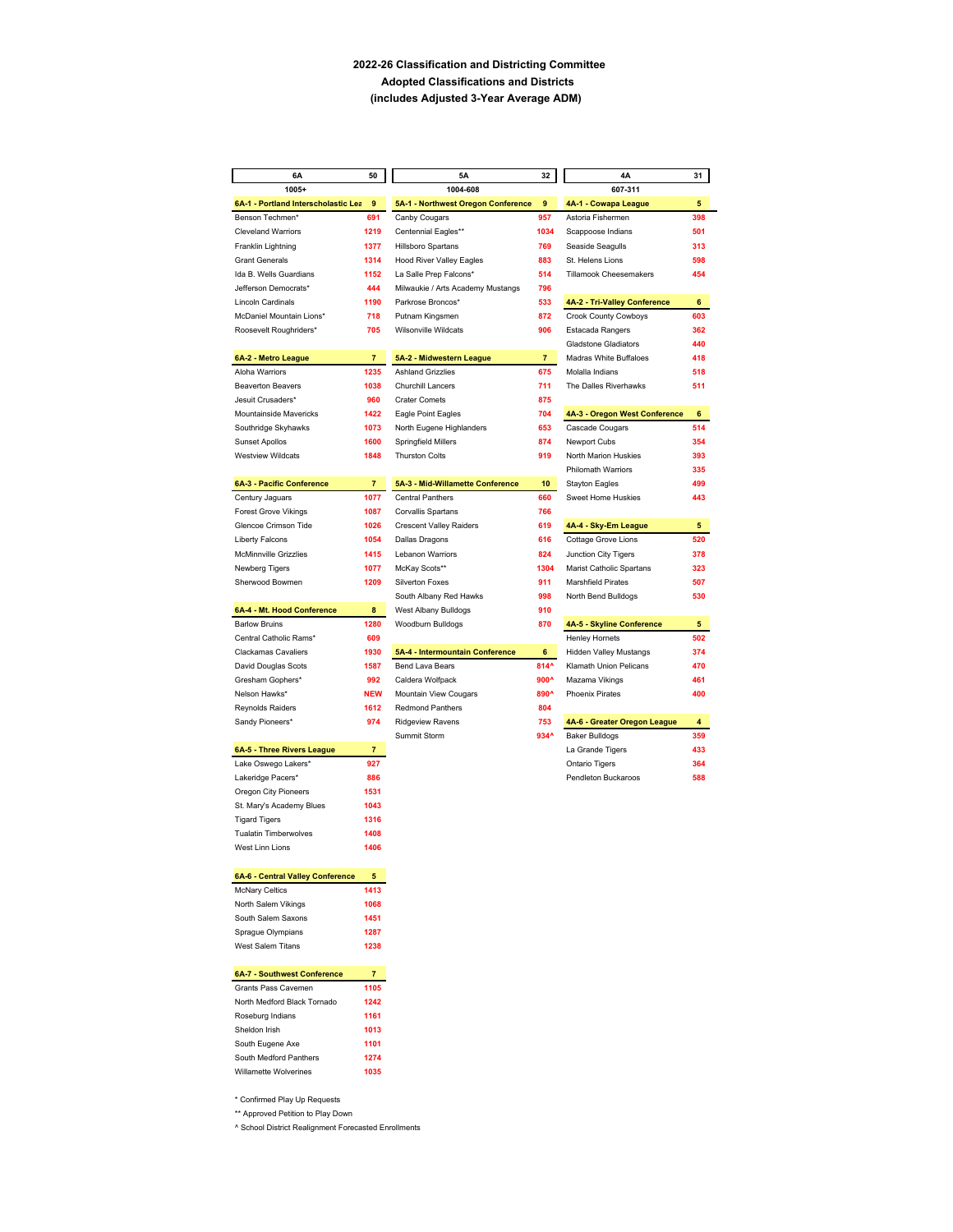## **2022-26 Classification and Districting Committee Adopted Classifications and Districts (includes Adjusted 3-Year Average ADM)**

| 6A                                                 | 50             | 5A                                             | 32             | 4Α                                                 | 31       |
|----------------------------------------------------|----------------|------------------------------------------------|----------------|----------------------------------------------------|----------|
| $1005+$                                            |                | 1004-608                                       |                | 607-311                                            |          |
| 6A-1 - Portland Interscholastic Lea                | 9              | 5A-1 - Northwest Oregon Conference             | 9              | 4A-1 - Cowapa League                               | 5        |
| Benson Techmen*                                    | 691            | Canby Cougars                                  | 957            | Astoria Fishermen                                  | 398      |
| <b>Cleveland Warriors</b>                          | 1219           | Centennial Eagles**                            | 1034           | Scappoose Indians                                  | 501      |
| Franklin Lightning                                 | 1377           | Hillsboro Spartans                             | 769            | Seaside Seagulls                                   | 313      |
| <b>Grant Generals</b>                              | 1314           | <b>Hood River Valley Eagles</b>                | 883            | St. Helens Lions                                   | 598      |
| Ida B. Wells Guardians                             | 1152           | La Salle Prep Falcons*                         | 514            | <b>Tillamook Cheesemakers</b>                      | 454      |
| Jefferson Democrats*                               | 444            | Milwaukie / Arts Academy Mustangs              | 796            |                                                    |          |
| Lincoln Cardinals                                  | 1190           | Parkrose Broncos*                              | 533            | 4A-2 - Tri-Valley Conference                       | 6        |
| McDaniel Mountain Lions*                           | 718            | Putnam Kingsmen                                | 872            | <b>Crook County Cowboys</b>                        | 603      |
| Roosevelt Roughriders*                             | 705            | <b>Wilsonville Wildcats</b>                    | 906            | Estacada Rangers                                   | 362      |
|                                                    |                |                                                |                | <b>Gladstone Gladiators</b>                        | 440      |
| 6A-2 - Metro League                                | $\overline{7}$ | 5A-2 - Midwestern League                       | $\overline{7}$ | Madras White Buffaloes                             | 418      |
| Aloha Warriors                                     | 1235           | <b>Ashland Grizzlies</b>                       | 675            | Molalla Indians                                    | 518      |
| <b>Beaverton Beavers</b>                           | 1038           | Churchill Lancers                              | 711            | The Dalles Riverhawks                              | 511      |
| Jesuit Crusaders*                                  | 960            | <b>Crater Comets</b>                           | 875            |                                                    |          |
| Mountainside Mavericks                             | 1422           | Eagle Point Eagles                             | 704            | 4A-3 - Oregon West Conference                      | 6        |
| Southridge Skyhawks                                | 1073           | North Eugene Highlanders                       | 653            | Cascade Cougars                                    | 514      |
| <b>Sunset Apollos</b>                              | 1600           | Springfield Millers                            | 874            | Newport Cubs                                       | 354      |
| <b>Westview Wildcats</b>                           | 1848           | <b>Thurston Colts</b>                          | 919            | North Marion Huskies                               | 393      |
|                                                    |                |                                                |                | Philomath Warriors                                 | 335      |
| 6A-3 - Pacific Conference                          | $\overline{7}$ | 5A-3 - Mid-Willamette Conference               | 10             | <b>Stayton Eagles</b>                              | 499      |
| Century Jaguars                                    | 1077           | <b>Central Panthers</b>                        | 660            | Sweet Home Huskies                                 | 443      |
| <b>Forest Grove Vikings</b>                        | 1087           | Corvallis Spartans                             | 766            |                                                    |          |
| Glencoe Crimson Tide                               | 1026           | <b>Crescent Valley Raiders</b>                 | 619            | 4A-4 - Sky-Em League                               | 5        |
| <b>Liberty Falcons</b>                             | 1054           | Dallas Dragons                                 | 616            | Cottage Grove Lions                                | 520      |
| <b>McMinnville Grizzlies</b>                       | 1415           | Lebanon Warriors                               | 824            | Junction City Tigers                               | 378      |
| Newberg Tigers                                     | 1077           | McKay Scots**                                  | 1304           | Marist Catholic Spartans                           | 323      |
| Sherwood Bowmen                                    | 1209           | Silverton Foxes                                | 911            | <b>Marshfield Pirates</b>                          | 507      |
|                                                    |                | South Albany Red Hawks<br>West Albany Bulldogs | 998            | North Bend Bulldogs                                | 530      |
| 6A-4 - Mt. Hood Conference<br><b>Barlow Bruins</b> | 8<br>1280      |                                                | 910<br>870     |                                                    |          |
| Central Catholic Rams*                             | 609            | Woodburn Bulldogs                              |                | 4A-5 - Skyline Conference<br><b>Henley Hornets</b> | 5<br>502 |
| <b>Clackamas Cavaliers</b>                         | 1930           | 5A-4 - Intermountain Conference                | 6              | <b>Hidden Valley Mustangs</b>                      | 374      |
| David Douglas Scots                                | 1587           | Bend Lava Bears                                | 814^           | Klamath Union Pelicans                             | 470      |
| Gresham Gophers*                                   | 992            | Caldera Wolfpack                               | $900^{\circ}$  | Mazama Vikings                                     | 461      |
| Nelson Hawks*                                      | <b>NEW</b>     | Mountain View Cougars                          | 890^           | <b>Phoenix Pirates</b>                             | 400      |
| Reynolds Raiders                                   | 1612           | Redmond Panthers                               | 804            |                                                    |          |
| Sandy Pioneers*                                    | 974            | <b>Ridgeview Ravens</b>                        | 753            | 4A-6 - Greater Oregon League                       | 4        |
|                                                    |                | Summit Storm                                   | 934^           | <b>Baker Bulldogs</b>                              | 359      |
| 6A-5 - Three Rivers League                         | $\overline{7}$ |                                                |                | La Grande Tigers                                   | 433      |
| Lake Oswego Lakers*                                | 927            |                                                |                | Ontario Tigers                                     | 364      |
| Lakeridge Pacers*                                  | 886            |                                                |                | Pendleton Buckaroos                                | 588      |
| Oregon City Pioneers                               | 1531           |                                                |                |                                                    |          |
| St. Mary's Academy Blues                           | 1043           |                                                |                |                                                    |          |
| <b>Tigard Tigers</b>                               | 1316           |                                                |                |                                                    |          |
| <b>Tualatin Timberwolves</b>                       | 1408           |                                                |                |                                                    |          |
| West Linn Lions                                    | 1406           |                                                |                |                                                    |          |
|                                                    |                |                                                |                |                                                    |          |
| 6A-6 - Central Valley Conference                   | 5              |                                                |                |                                                    |          |
| <b>McNary Celtics</b>                              | 1413           |                                                |                |                                                    |          |
| North Salem Vikings                                | 1068           |                                                |                |                                                    |          |
| South Salem Saxons                                 | 1451           |                                                |                |                                                    |          |
| Sprague Olympians                                  | 1287           |                                                |                |                                                    |          |
| West Salem Titans                                  | 1238           |                                                |                |                                                    |          |
| 6A-7 - Southwest Conference                        | $\overline{7}$ |                                                |                |                                                    |          |
| Grants Pass Cavemen                                | 1105           |                                                |                |                                                    |          |
| North Medford Black Tornado                        | 1242           |                                                |                |                                                    |          |
| Roseburg Indians                                   | 1161           |                                                |                |                                                    |          |
| Sheldon Irish                                      | 1013           |                                                |                |                                                    |          |
| South Eugene Axe                                   | 1101           |                                                |                |                                                    |          |
| South Medford Panthers                             | 1274           |                                                |                |                                                    |          |
| Willamette Wolverines                              | 1035           |                                                |                |                                                    |          |
|                                                    |                |                                                |                |                                                    |          |

\* Confirmed Play Up Requests

\*\* Approved Petition to Play Down

^ School District Realignment Forecasted Enrollments